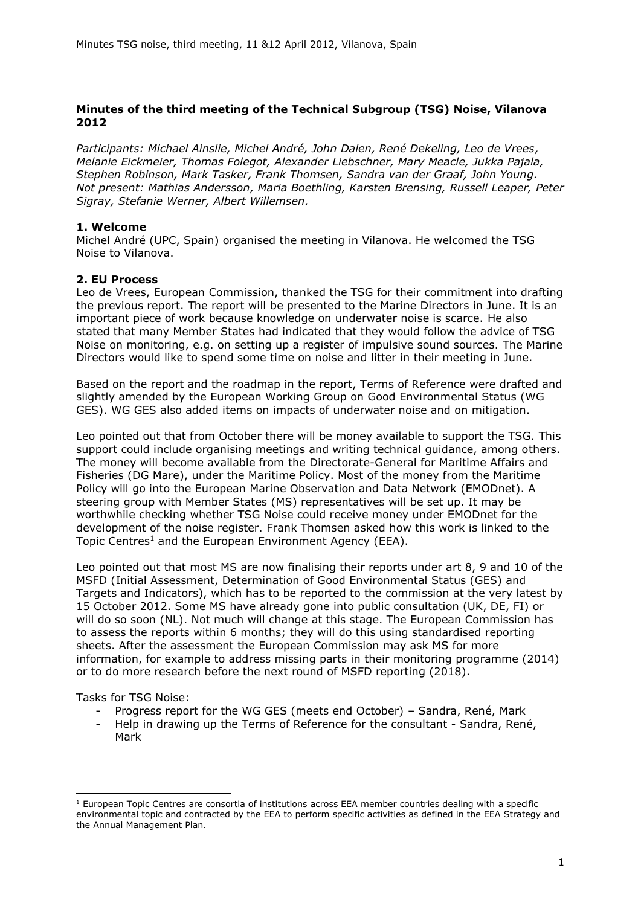# **Minutes of the third meeting of the Technical Subgroup (TSG) Noise, Vilanova 2012**

*Participants: Michael Ainslie, Michel André, John Dalen, René Dekeling, Leo de Vrees, Melanie Eickmeier, Thomas Folegot, Alexander Liebschner, Mary Meacle, Jukka Pajala, Stephen Robinson, Mark Tasker, Frank Thomsen, Sandra van der Graaf, John Young. Not present: Mathias Andersson, Maria Boethling, Karsten Brensing, Russell Leaper, Peter Sigray, Stefanie Werner, Albert Willemsen.*

### **1. Welcome**

Michel André (UPC, Spain) organised the meeting in Vilanova. He welcomed the TSG Noise to Vilanova.

## **2. EU Process**

Leo de Vrees, European Commission, thanked the TSG for their commitment into drafting the previous report. The report will be presented to the Marine Directors in June. It is an important piece of work because knowledge on underwater noise is scarce. He also stated that many Member States had indicated that they would follow the advice of TSG Noise on monitoring, e.g. on setting up a register of impulsive sound sources. The Marine Directors would like to spend some time on noise and litter in their meeting in June.

Based on the report and the roadmap in the report, Terms of Reference were drafted and slightly amended by the European Working Group on Good Environmental Status (WG GES). WG GES also added items on impacts of underwater noise and on mitigation.

Leo pointed out that from October there will be money available to support the TSG. This support could include organising meetings and writing technical guidance, among others. The money will become available from the Directorate-General for Maritime Affairs and Fisheries (DG Mare), under the Maritime Policy. Most of the money from the Maritime Policy will go into the European Marine Observation and Data Network (EMODnet). A steering group with Member States (MS) representatives will be set up. It may be worthwhile checking whether TSG Noise could receive money under EMODnet for the development of the noise register. Frank Thomsen asked how this work is linked to the Topic Centres<sup>1</sup> and the European Environment Agency (EEA).

Leo pointed out that most MS are now finalising their reports under art 8, 9 and 10 of the MSFD (Initial Assessment, Determination of Good Environmental Status (GES) and Targets and Indicators), which has to be reported to the commission at the very latest by 15 October 2012. Some MS have already gone into public consultation (UK, DE, FI) or will do so soon (NL). Not much will change at this stage. The European Commission has to assess the reports within 6 months; they will do this using standardised reporting sheets. After the assessment the European Commission may ask MS for more information, for example to address missing parts in their monitoring programme (2014) or to do more research before the next round of MSFD reporting (2018).

Tasks for TSG Noise:

-

- Progress report for the WG GES (meets end October) Sandra, René, Mark
- Help in drawing up the Terms of Reference for the consultant Sandra, René, Mark

 $1$  European Topic Centres are consortia of institutions across EEA member countries dealing with a specific environmental topic and contracted by the EEA to perform specific activities as defined in the EEA Strategy and the Annual Management Plan.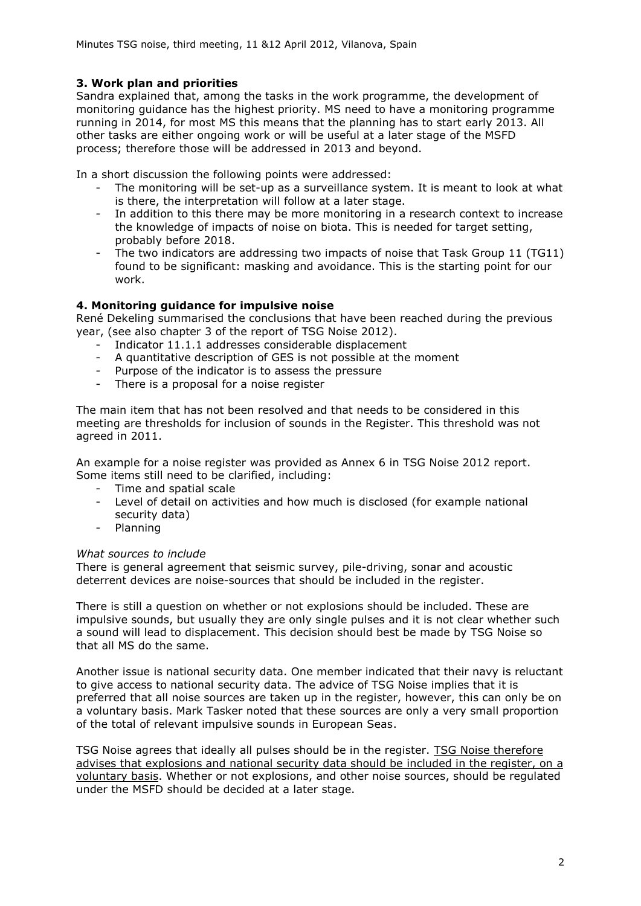# **3. Work plan and priorities**

Sandra explained that, among the tasks in the work programme, the development of monitoring guidance has the highest priority. MS need to have a monitoring programme running in 2014, for most MS this means that the planning has to start early 2013. All other tasks are either ongoing work or will be useful at a later stage of the MSFD process; therefore those will be addressed in 2013 and beyond.

In a short discussion the following points were addressed:

- The monitoring will be set-up as a surveillance system. It is meant to look at what is there, the interpretation will follow at a later stage.
- In addition to this there may be more monitoring in a research context to increase the knowledge of impacts of noise on biota. This is needed for target setting, probably before 2018.
- The two indicators are addressing two impacts of noise that Task Group 11 (TG11) found to be significant: masking and avoidance. This is the starting point for our work.

## **4. Monitoring guidance for impulsive noise**

René Dekeling summarised the conclusions that have been reached during the previous year, (see also chapter 3 of the report of TSG Noise 2012).

- Indicator 11.1.1 addresses considerable displacement
- A quantitative description of GES is not possible at the moment
- Purpose of the indicator is to assess the pressure
- There is a proposal for a noise register

The main item that has not been resolved and that needs to be considered in this meeting are thresholds for inclusion of sounds in the Register. This threshold was not agreed in 2011.

An example for a noise register was provided as Annex 6 in TSG Noise 2012 report. Some items still need to be clarified, including:

- Time and spatial scale
- Level of detail on activities and how much is disclosed (for example national security data)
- Planning

### *What sources to include*

There is general agreement that seismic survey, pile-driving, sonar and acoustic deterrent devices are noise-sources that should be included in the register.

There is still a question on whether or not explosions should be included. These are impulsive sounds, but usually they are only single pulses and it is not clear whether such a sound will lead to displacement. This decision should best be made by TSG Noise so that all MS do the same.

Another issue is national security data. One member indicated that their navy is reluctant to give access to national security data. The advice of TSG Noise implies that it is preferred that all noise sources are taken up in the register, however, this can only be on a voluntary basis. Mark Tasker noted that these sources are only a very small proportion of the total of relevant impulsive sounds in European Seas.

TSG Noise agrees that ideally all pulses should be in the register. TSG Noise therefore advises that explosions and national security data should be included in the register, on a voluntary basis. Whether or not explosions, and other noise sources, should be regulated under the MSFD should be decided at a later stage.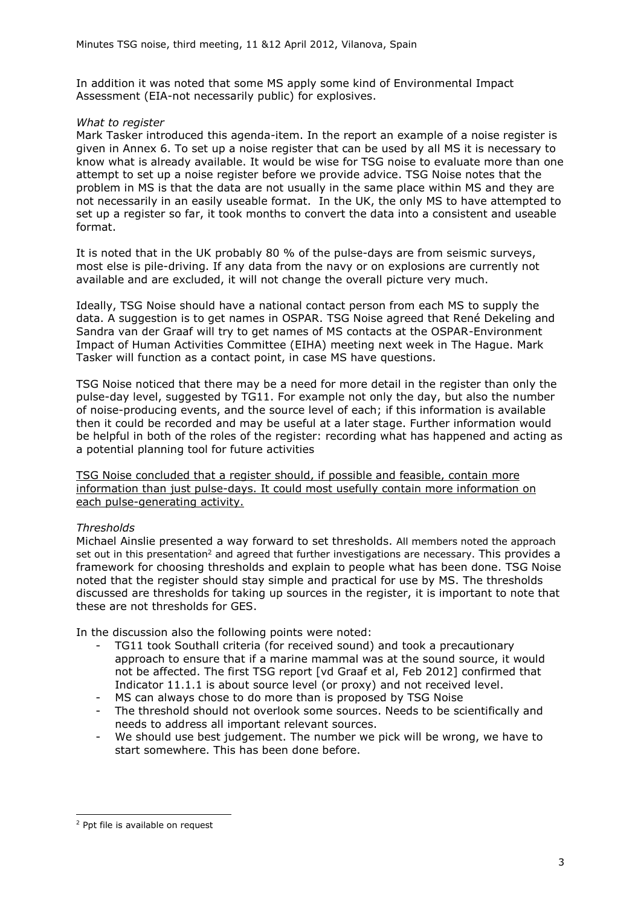In addition it was noted that some MS apply some kind of Environmental Impact Assessment (EIA-not necessarily public) for explosives.

### *What to register*

Mark Tasker introduced this agenda-item. In the report an example of a noise register is given in Annex 6. To set up a noise register that can be used by all MS it is necessary to know what is already available. It would be wise for TSG noise to evaluate more than one attempt to set up a noise register before we provide advice. TSG Noise notes that the problem in MS is that the data are not usually in the same place within MS and they are not necessarily in an easily useable format. In the UK, the only MS to have attempted to set up a register so far, it took months to convert the data into a consistent and useable format.

It is noted that in the UK probably 80 % of the pulse-days are from seismic surveys, most else is pile-driving. If any data from the navy or on explosions are currently not available and are excluded, it will not change the overall picture very much.

Ideally, TSG Noise should have a national contact person from each MS to supply the data. A suggestion is to get names in OSPAR. TSG Noise agreed that René Dekeling and Sandra van der Graaf will try to get names of MS contacts at the OSPAR-Environment Impact of Human Activities Committee (EIHA) meeting next week in The Hague. Mark Tasker will function as a contact point, in case MS have questions.

TSG Noise noticed that there may be a need for more detail in the register than only the pulse-day level, suggested by TG11. For example not only the day, but also the number of noise-producing events, and the source level of each; if this information is available then it could be recorded and may be useful at a later stage. Further information would be helpful in both of the roles of the register: recording what has happened and acting as a potential planning tool for future activities

TSG Noise concluded that a register should, if possible and feasible, contain more information than just pulse-days. It could most usefully contain more information on each pulse-generating activity.

# *Thresholds*

Michael Ainslie presented a way forward to set thresholds. All members noted the approach set out in this presentation<sup>2</sup> and agreed that further investigations are necessary. This provides a framework for choosing thresholds and explain to people what has been done. TSG Noise noted that the register should stay simple and practical for use by MS. The thresholds discussed are thresholds for taking up sources in the register, it is important to note that these are not thresholds for GES.

In the discussion also the following points were noted:

- TG11 took Southall criteria (for received sound) and took a precautionary approach to ensure that if a marine mammal was at the sound source, it would not be affected. The first TSG report [vd Graaf et al, Feb 2012] confirmed that Indicator 11.1.1 is about source level (or proxy) and not received level.
- MS can always chose to do more than is proposed by TSG Noise
- The threshold should not overlook some sources. Needs to be scientifically and needs to address all important relevant sources.
- We should use best judgement. The number we pick will be wrong, we have to start somewhere. This has been done before.

<sup>-</sup><sup>2</sup> Ppt file is available on request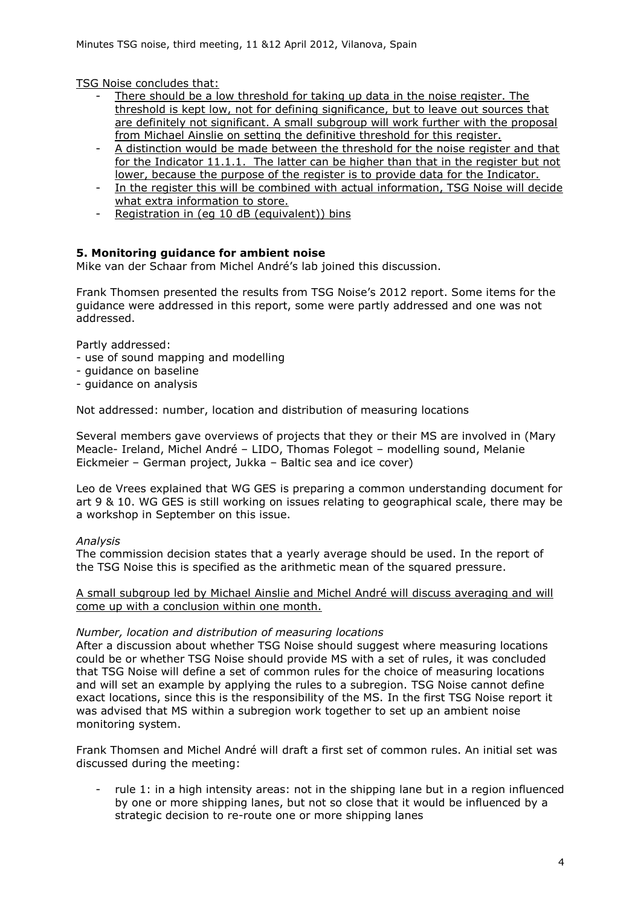TSG Noise concludes that:

- There should be a low threshold for taking up data in the noise register. The threshold is kept low, not for defining significance, but to leave out sources that are definitely not significant. A small subgroup will work further with the proposal from Michael Ainslie on setting the definitive threshold for this register.
- A distinction would be made between the threshold for the noise register and that for the Indicator 11.1.1. The latter can be higher than that in the register but not lower, because the purpose of the register is to provide data for the Indicator.
- In the register this will be combined with actual information, TSG Noise will decide what extra information to store.
- Registration in (eg 10 dB (equivalent)) bins

# **5. Monitoring guidance for ambient noise**

Mike van der Schaar from Michel André's lab joined this discussion.

Frank Thomsen presented the results from TSG Noise's 2012 report. Some items for the guidance were addressed in this report, some were partly addressed and one was not addressed.

Partly addressed:

- use of sound mapping and modelling
- guidance on baseline
- guidance on analysis

Not addressed: number, location and distribution of measuring locations

Several members gave overviews of projects that they or their MS are involved in (Mary Meacle- Ireland, Michel André – LIDO, Thomas Folegot – modelling sound, Melanie Eickmeier – German project, Jukka – Baltic sea and ice cover)

Leo de Vrees explained that WG GES is preparing a common understanding document for art 9 & 10. WG GES is still working on issues relating to geographical scale, there may be a workshop in September on this issue.

### *Analysis*

The commission decision states that a yearly average should be used. In the report of the TSG Noise this is specified as the arithmetic mean of the squared pressure.

A small subgroup led by Michael Ainslie and Michel André will discuss averaging and will come up with a conclusion within one month.

### *Number, location and distribution of measuring locations*

After a discussion about whether TSG Noise should suggest where measuring locations could be or whether TSG Noise should provide MS with a set of rules, it was concluded that TSG Noise will define a set of common rules for the choice of measuring locations and will set an example by applying the rules to a subregion. TSG Noise cannot define exact locations, since this is the responsibility of the MS. In the first TSG Noise report it was advised that MS within a subregion work together to set up an ambient noise monitoring system.

Frank Thomsen and Michel André will draft a first set of common rules. An initial set was discussed during the meeting:

rule 1: in a high intensity areas: not in the shipping lane but in a region influenced by one or more shipping lanes, but not so close that it would be influenced by a strategic decision to re-route one or more shipping lanes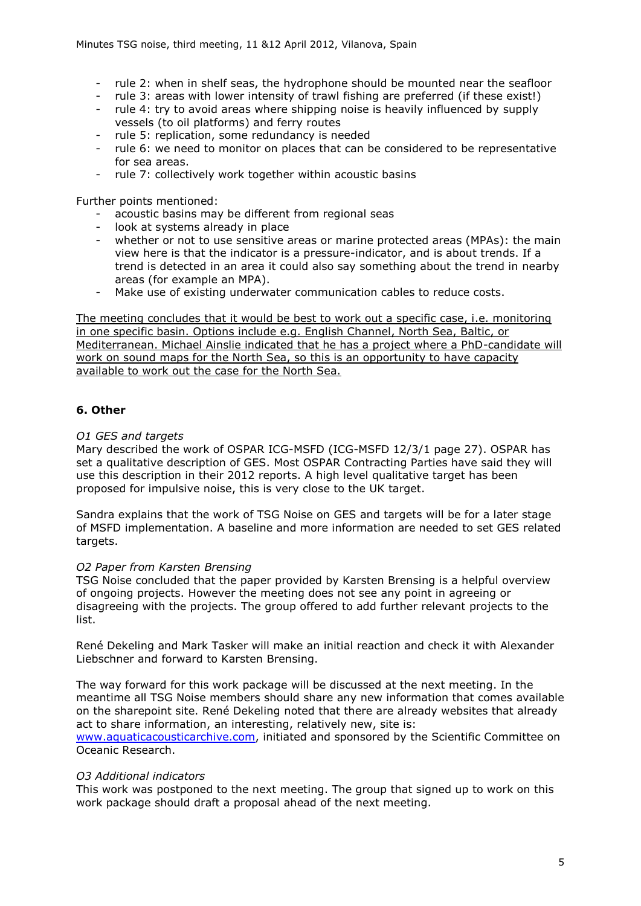- rule 2: when in shelf seas, the hydrophone should be mounted near the seafloor
- rule 3: areas with lower intensity of trawl fishing are preferred (if these exist!)
- rule 4: try to avoid areas where shipping noise is heavily influenced by supply vessels (to oil platforms) and ferry routes
- rule 5: replication, some redundancy is needed
- rule 6: we need to monitor on places that can be considered to be representative for sea areas.
- rule 7: collectively work together within acoustic basins

Further points mentioned:

- acoustic basins may be different from regional seas
- look at systems already in place
- whether or not to use sensitive areas or marine protected areas (MPAs): the main view here is that the indicator is a pressure-indicator, and is about trends. If a trend is detected in an area it could also say something about the trend in nearby areas (for example an MPA).
- Make use of existing underwater communication cables to reduce costs.

The meeting concludes that it would be best to work out a specific case, i.e. monitoring in one specific basin. Options include e.g. English Channel, North Sea, Baltic, or Mediterranean. Michael Ainslie indicated that he has a project where a PhD-candidate will work on sound maps for the North Sea, so this is an opportunity to have capacity available to work out the case for the North Sea.

# **6. Other**

## *O1 GES and targets*

Mary described the work of OSPAR ICG-MSFD (ICG-MSFD 12/3/1 page 27). OSPAR has set a qualitative description of GES. Most OSPAR Contracting Parties have said they will use this description in their 2012 reports. A high level qualitative target has been proposed for impulsive noise, this is very close to the UK target.

Sandra explains that the work of TSG Noise on GES and targets will be for a later stage of MSFD implementation. A baseline and more information are needed to set GES related targets.

# *O2 Paper from Karsten Brensing*

TSG Noise concluded that the paper provided by Karsten Brensing is a helpful overview of ongoing projects. However the meeting does not see any point in agreeing or disagreeing with the projects. The group offered to add further relevant projects to the list.

René Dekeling and Mark Tasker will make an initial reaction and check it with Alexander Liebschner and forward to Karsten Brensing.

The way forward for this work package will be discussed at the next meeting. In the meantime all TSG Noise members should share any new information that comes available on the sharepoint site. René Dekeling noted that there are already websites that already act to share information, an interesting, relatively new, site is:

[www.aquaticacousticarchive.com,](http://www.aquaticacousticarchive.com/) initiated and sponsored by the Scientific Committee on Oceanic Research.

### *O3 Additional indicators*

This work was postponed to the next meeting. The group that signed up to work on this work package should draft a proposal ahead of the next meeting.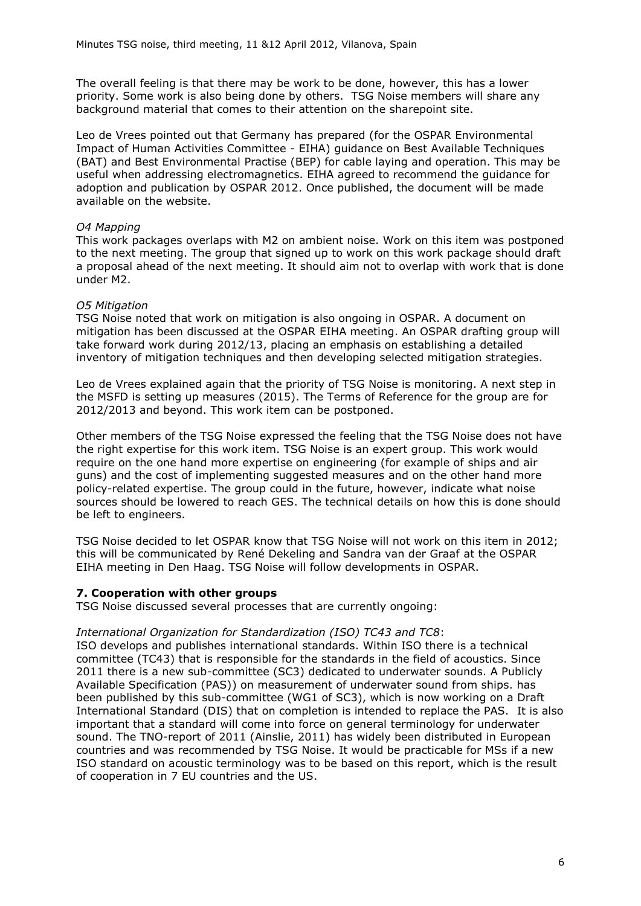The overall feeling is that there may be work to be done, however, this has a lower priority. Some work is also being done by others. TSG Noise members will share any background material that comes to their attention on the sharepoint site.

Leo de Vrees pointed out that Germany has prepared (for the OSPAR Environmental Impact of Human Activities Committee - EIHA) guidance on Best Available Techniques (BAT) and Best Environmental Practise (BEP) for cable laying and operation. This may be useful when addressing electromagnetics. EIHA agreed to recommend the guidance for adoption and publication by OSPAR 2012. Once published, the document will be made available on the website.

### *O4 Mapping*

This work packages overlaps with M2 on ambient noise. Work on this item was postponed to the next meeting. The group that signed up to work on this work package should draft a proposal ahead of the next meeting. It should aim not to overlap with work that is done under M2.

### *O5 Mitigation*

TSG Noise noted that work on mitigation is also ongoing in OSPAR. A document on mitigation has been discussed at the OSPAR EIHA meeting. An OSPAR drafting group will take forward work during 2012/13, placing an emphasis on establishing a detailed inventory of mitigation techniques and then developing selected mitigation strategies.

Leo de Vrees explained again that the priority of TSG Noise is monitoring. A next step in the MSFD is setting up measures (2015). The Terms of Reference for the group are for 2012/2013 and beyond. This work item can be postponed.

Other members of the TSG Noise expressed the feeling that the TSG Noise does not have the right expertise for this work item. TSG Noise is an expert group. This work would require on the one hand more expertise on engineering (for example of ships and air guns) and the cost of implementing suggested measures and on the other hand more policy-related expertise. The group could in the future, however, indicate what noise sources should be lowered to reach GES. The technical details on how this is done should be left to engineers.

TSG Noise decided to let OSPAR know that TSG Noise will not work on this item in 2012; this will be communicated by René Dekeling and Sandra van der Graaf at the OSPAR EIHA meeting in Den Haag. TSG Noise will follow developments in OSPAR.

### **7. Cooperation with other groups**

TSG Noise discussed several processes that are currently ongoing:

### *International Organization for Standardization (ISO) TC43 and TC8*:

ISO develops and publishes international standards. Within ISO there is a technical committee (TC43) that is responsible for the standards in the field of acoustics. Since 2011 there is a new sub-committee (SC3) dedicated to underwater sounds. A Publicly Available Specification (PAS)) on measurement of underwater sound from ships. has been published by this sub-committee (WG1 of SC3), which is now working on a Draft International Standard (DIS) that on completion is intended to replace the PAS. It is also important that a standard will come into force on general terminology for underwater sound. The TNO-report of 2011 (Ainslie, 2011) has widely been distributed in European countries and was recommended by TSG Noise. It would be practicable for MSs if a new ISO standard on acoustic terminology was to be based on this report, which is the result of cooperation in 7 EU countries and the US.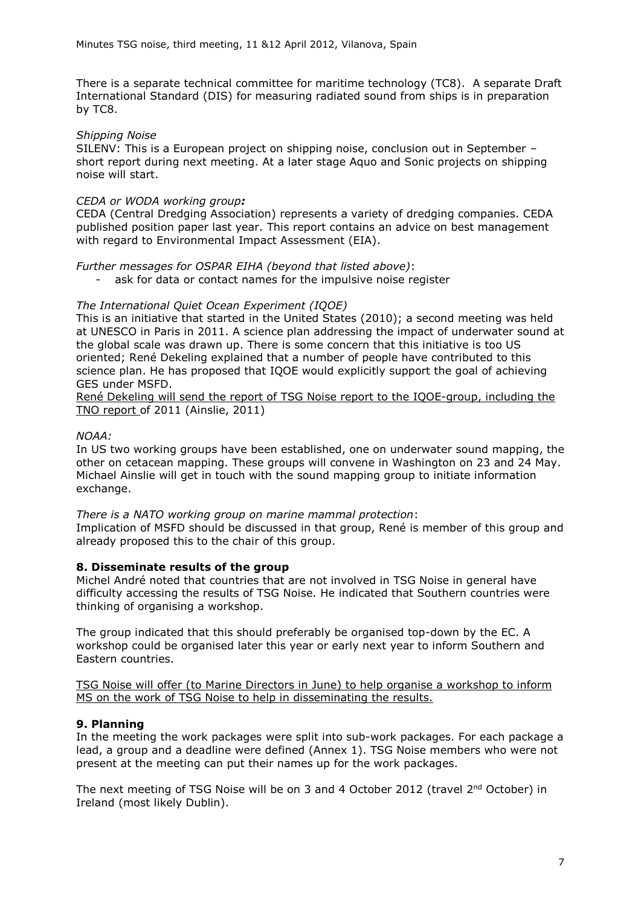There is a separate technical committee for maritime technology (TC8). A separate Draft International Standard (DIS) for measuring radiated sound from ships is in preparation by TC8.

### *Shipping Noise*

SILENV: This is a European project on shipping noise, conclusion out in September – short report during next meeting. At a later stage Aquo and Sonic projects on shipping noise will start.

### *CEDA or WODA working group:*

CEDA (Central Dredging Association) represents a variety of dredging companies. CEDA published position paper last year. This report contains an advice on best management with regard to Environmental Impact Assessment (EIA).

*Further messages for OSPAR EIHA (beyond that listed above)*:

ask for data or contact names for the impulsive noise register

## *The International Quiet Ocean Experiment (IQOE)*

This is an initiative that started in the United States (2010); a second meeting was held at UNESCO in Paris in 2011. A science plan addressing the impact of underwater sound at the global scale was drawn up. There is some concern that this initiative is too US oriented; René Dekeling explained that a number of people have contributed to this science plan. He has proposed that IQOE would explicitly support the goal of achieving GES under MSFD.

René Dekeling will send the report of TSG Noise report to the IQOE-group, including the TNO report of 2011 (Ainslie, 2011)

## *NOAA:*

In US two working groups have been established, one on underwater sound mapping, the other on cetacean mapping. These groups will convene in Washington on 23 and 24 May. Michael Ainslie will get in touch with the sound mapping group to initiate information exchange.

*There is a NATO working group on marine mammal protection*: Implication of MSFD should be discussed in that group, René is member of this group and already proposed this to the chair of this group.

### **8. Disseminate results of the group**

Michel André noted that countries that are not involved in TSG Noise in general have difficulty accessing the results of TSG Noise. He indicated that Southern countries were thinking of organising a workshop.

The group indicated that this should preferably be organised top-down by the EC. A workshop could be organised later this year or early next year to inform Southern and Eastern countries.

TSG Noise will offer (to Marine Directors in June) to help organise a workshop to inform MS on the work of TSG Noise to help in disseminating the results.

# **9. Planning**

In the meeting the work packages were split into sub-work packages. For each package a lead, a group and a deadline were defined (Annex 1). TSG Noise members who were not present at the meeting can put their names up for the work packages.

The next meeting of TSG Noise will be on 3 and 4 October 2012 (travel 2<sup>nd</sup> October) in Ireland (most likely Dublin).